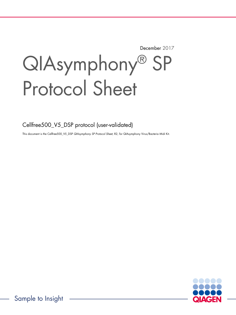December 2017

# QIAsymphony® SP Protocol Sheet

Cellfree500\_V5\_DSP protocol (user-validated)

This document is the Cellfree500\_V5\_DSP QIAsymphony SP Protocol Sheet, R2, for QIAsymphony Virus/Bacteria Midi Kit.

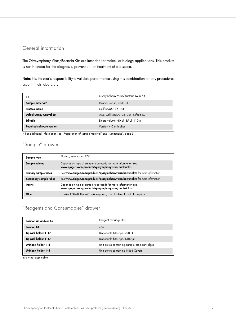## General information

The QIAsymphony Virus/Bacteria Kits are intended for molecular biology applications. This product is not intended for the diagnosis, prevention, or treatment of a disease.

Note: It is the user's responsibility to validate performance using this combination for any procedures used in their laboratory.

| Kit                              | QIAsymphony Virus/Bacteria Midi Kit |
|----------------------------------|-------------------------------------|
| Sample material*                 | Plasma, serum, and CSF              |
| Protocol name                    | Cellfree500 V5 DSP                  |
| Default Assay Control Set        | ACS Cellfree500 V5 DSP default IC   |
| Editable                         | Eluate volume: 60 µl, 85 µl, 110 µl |
| <b>Required software version</b> | Version 4.0 or higher               |

\* For additional information see "Preparation of sample material" and "Limitations", page 5.

# "Sample" drawer

| Sample type            | Plasma, serum, and CSF                                                                                                 |
|------------------------|------------------------------------------------------------------------------------------------------------------------|
| Sample volume          | Depends on type of sample tube used; for more information see<br>www.qiagen.com/products/qiasymphonyvirus/bacteriakits |
| Primary sample tubes   | See www.qiagen.com/products/qiasymphonyvirus/bacteriakits for more information                                         |
| Secondary sample tubes | See www.qiagen.com/products/qiasymphonyvirus/bacteriakits for more information                                         |
| <b>Inserts</b>         | Depends on type of sample tube used; for more information see<br>www.qiagen.com/products/qiasymphonyvirus/bacteriakits |
| Other                  | Carrier RNA-Buffer AVE mix required; use of internal control is optional                                               |

# "Reagents and Consumables" drawer

| Position A1 and/or A2 | Reagent cartridge (RC)                       |
|-----------------------|----------------------------------------------|
| <b>Position B1</b>    | n/a                                          |
| Tip rack holder 1-17  | Disposable filter-tips, 200 µl               |
| Tip rack holder 1-17  | Disposable filter-tips, 1500 µl              |
| Unit box holder 1-4   | Unit boxes containing sample prep cartridges |
| Unit box holder 1-4   | Unit boxes containing 8-Rod Covers           |

 $n/a = not applicable.$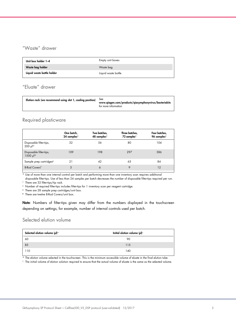# "Waste" drawer

| Unit box holder 1-4        | Empty unit boxes    |
|----------------------------|---------------------|
| Waste bag holder           | Waste bag           |
| Liquid waste bottle holder | Liquid waste bottle |

## "Eluate" drawer

| Elution rack (we recommend using slot 1, cooling position)<br><b>See</b><br>www.qiagen.com/products/qiasymphonyvirus/bacteriakits<br>for more information |  |
|-----------------------------------------------------------------------------------------------------------------------------------------------------------|--|
|-----------------------------------------------------------------------------------------------------------------------------------------------------------|--|

## Required plasticware

|                                                    | One batch,<br>24 samples* | Two batches,<br>48 samples* | Three batches,<br>72 samples* | Four batches,<br>96 samples* |
|----------------------------------------------------|---------------------------|-----------------------------|-------------------------------|------------------------------|
| Disposable filter-tips,<br>$200 \mu$ <sup>++</sup> | 32                        | 56                          | 80                            | 104                          |
| Disposable filter-tips,<br>1500 µl <sup>†</sup>    | 109                       | 198                         | 297                           | 386                          |
| Sample prep cartridges <sup>§</sup>                | 21                        | 42                          | 63                            | 84                           |
| 8-Rod Covers <sup>1</sup>                          | 3                         | 6                           | 9                             | 12                           |

\* Use of more than one internal control per batch and performing more than one inventory scan requires additional

disposable filter-tips. Use of less than 24 samples per batch decreases the number of disposable filter-tips required per run. † There are 32 filter-tips/tip rack.

‡ Number of required filter-tips includes filter-tips for 1 inventory scan per reagent cartridge.

§ There are 28 sample prep cartridges/unit box.

¶ There are twelve 8-Rod Covers/unit box.

Note: Numbers of filter-tips given may differ from the numbers displayed in the touchscreen depending on settings, for example, number of internal controls used per batch.

## Selected elution volume

| Selected elution volume (µl)* | Initial elution volume (µl) <sup>+</sup> |
|-------------------------------|------------------------------------------|
| 60                            | 90                                       |
| 85                            | 115                                      |
| 110                           | 140                                      |

\* The elution volume selected in the touchscreen. This is the minimum accessible volume of eluate in the final elution tube.

† The initial volume of elution solution required to ensure that the actual volume of eluate is the same as the selected volume.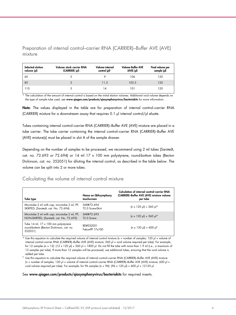Preparation of internal control–carrier RNA (CARRIER)–Buffer AVE (AVE) mixture

| Selected elution<br>volume (µl) | Volume stock carrier RNA<br>(CARRIER) (pl) | Volume internal<br>control $(\mu$ <sup>*</sup> | <b>Volume Buffer AVE</b><br>$(AVE)$ $(µ)$ | Final volume per<br>sample (µl) |
|---------------------------------|--------------------------------------------|------------------------------------------------|-------------------------------------------|---------------------------------|
| 60                              |                                            |                                                | 106                                       | 120                             |
| 85                              | 5                                          | 11.5                                           | 103.5                                     | 120                             |
| 110                             |                                            | 14                                             | 101                                       | 120                             |

\* The calculation of the amount of internal control is based on the initial elution volumes. Additional void volume depends on the type of sample tube used; see www.qiagen.com/products/qiasymphonyvirus/bacteriakits for more information.

Note: The values displayed in the table are for preparation of internal control-carrier RNA (CARRIER) mixture for a downstream assay that requires 0.1 µl internal control/µl eluate.

Tubes containing internal control–carrier RNA (CARRIER)–Buffer AVE (AVE) mixture are placed in a tube carrier. The tube carrier containing the internal control–carrier RNA (CARRIER)–Buffer AVE (AVE) mixture(s) must be placed in slot A of the sample drawer.

Depending on the number of samples to be processed, we recommend using 2 ml tubes (Sarstedt, cat. no. 72.693 or 72.694) or 14 ml 17 x 100 mm polystyrene, round-bottom tubes (Becton Dickinson, cat. no. 352051) for diluting the internal control, as described in the table below. The volume can be split into 2 or more tubes.

## Calculating the volume of internal control mixture

| Tube type                                                                                  | Name on QIAsymphony<br>touchscreen   | Calculation of internal control-carrier RNA<br>(CARRIER)-Buffer AVE (AVE) mixture volume<br>per tube |
|--------------------------------------------------------------------------------------------|--------------------------------------|------------------------------------------------------------------------------------------------------|
| Microtube 2 ml with cap; microtube 2 ml, PP,<br>SKIRTED, (Sarstedt, cat. No. 72.694)       | SAR#72.694<br>T2.0 ScrewSkirt        | $(n \times 120 \text{ pl}) + 360 \text{ pl}$ *                                                       |
| Microtube 2 ml with cap; microtube 2 ml, PP,<br>NON-SKIRTED, (Sarstedt, cat. No. 72.693)   | SAR#72.693<br>T <sub>2.0</sub> Screw | $(n \times 120 \text{ pl}) + 360 \text{ pl}$ *                                                       |
| Tube 14 ml, 17 x 100 mm polystyrene<br>round-bottom (Becton Dickinson, cat. no.<br>352051) | BD#352051<br>FalconPP 17x100         | $(n \times 120 \text{ pl}) + 600 \text{ pl}$                                                         |

Use this equation to calculate the required volume of internal control mixture (n = number of samples; 120  $\mu$  = volume of internal control–carrier RNA (CARRIER)–Buffer AVE (AVE) mixture; 360 µl = void volume required per tube). For example, for 12 samples (n = 12):  $(12 \times 120 \text{ µ}) + 360 \text{ µ}$  = 1800  $\text{µ}$ . Do not fill the tube with more than 1.9 ml (i.e., a maximum of 12 samples per tube). If more than 12 samples will be processed, use additional tubes, ensuring that the void volume is added per tube.

 $^\dagger$  Use this equation to calculate the required volume of internal control–carrier RNA (CARRIER)–Buffer AVE (AVE) mixture (n = number of samples; 120 µl = volume of internal control-carrier RNA (CARRIER)-Buffer AVE (AVE) mixture; 600 µl = void volume required per tube). For example, for 96 samples (n = 96):  $(96 \times 120 \text{ pl}) + 600 \text{ pl} = 12120 \text{ pl}$ .

#### See www.qiagen.com/products/qiasymphonyvirus/bacteriakits for required inserts.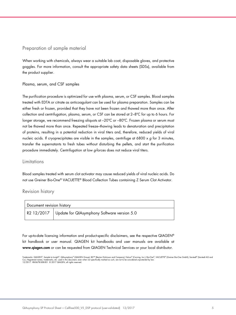## Preparation of sample material

When working with chemicals, always wear a suitable lab coat, disposable gloves, and protective goggles. For more information, consult the appropriate safety data sheets (SDSs), available from the product supplier.

#### Plasma, serum, and CSF samples

The purification procedure is optimized for use with plasma, serum, or CSF samples. Blood samples treated with EDTA or citrate as anticoagulant can be used for plasma preparation. Samples can be either fresh or frozen, provided that they have not been frozen and thawed more than once. After collection and centrifugation, plasma, serum, or CSF can be stored at 2–8ºC for up to 6 hours. For longer storage, we recommend freezing aliquots at –20ºC or –80ºC. Frozen plasma or serum must not be thawed more than once. Repeated freeze–thawing leads to denaturation and precipitation of proteins, resulting in a potential reduction in viral titers and, therefore, reduced yields of viral nucleic acids. If cryoprecipitates are visible in the samples, centrifuge at 6800 x  $g$  for 3 minutes, transfer the supernatants to fresh tubes without disturbing the pellets, and start the purification procedure immediately. Centrifugation at low g-forces does not reduce viral titers.

### Limitations

Blood samples treated with serum clot activator may cause reduced yields of viral nucleic acids. Do not use Greiner Bio-One® VACUETTE® Blood Collection Tubes containing Z Serum Clot Activator.

### Revision history

| Document revision history |                                                        |
|---------------------------|--------------------------------------------------------|
|                           | R2 12/2017 Update for QIAsymphony Software version 5.0 |

For up-to-date licensing information and product-specific disclaimers, see the respective QIAGEN® kit handbook or user manual. QIAGEN kit handbooks and user manuals are available at www.qiagen.com or can be requested from QIAGEN Technical Services or your local distributor.

Trademarks: QIAGEN®, Sample to Insight®, QIAsymphony® (QIAGEN Group); BD™ (Becton Dickinson and Company); Falcon® (Corning, Inc.); Bio-One®, VACUETTE® (Greiner Bio-One GmbH); Sarstedt® (Sarstedt AG and<br>Co.). Registered na 12/2017 HB-0678-S08-001 © 2017 QIAGEN, all rights reserved.